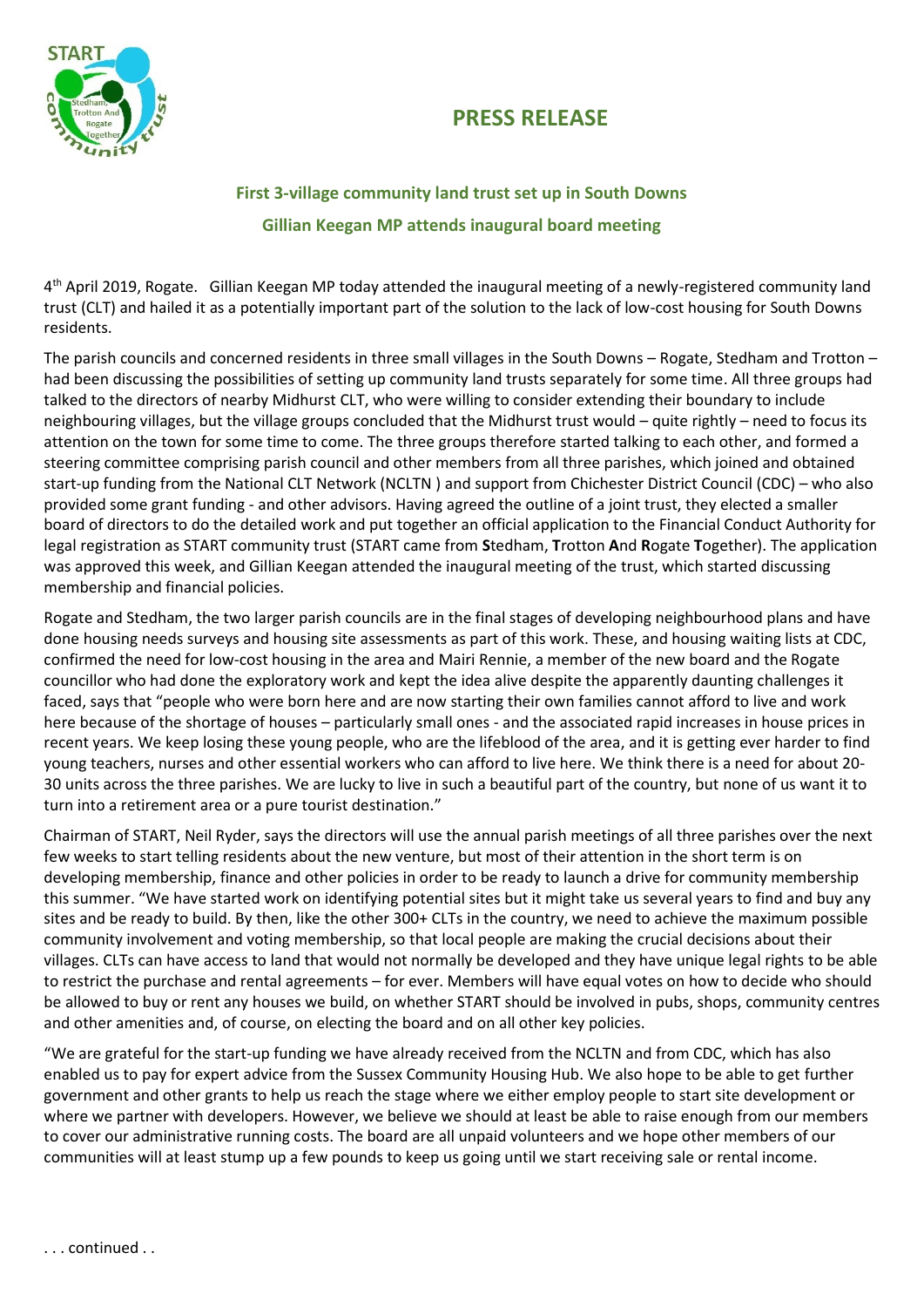## **PRESS RELEASE**



## **First 3-village community land trust set up in South Downs Gillian Keegan MP attends inaugural board meeting**

4<sup>th</sup> April 2019, Rogate. Gillian Keegan MP today attended the inaugural meeting of a newly-registered community land trust (CLT) and hailed it as a potentially important part of the solution to the lack of low-cost housing for South Downs residents.

The parish councils and concerned residents in three small villages in the South Downs – Rogate, Stedham and Trotton – had been discussing the possibilities of setting up community land trusts separately for some time. All three groups had talked to the directors of nearby Midhurst CLT, who were willing to consider extending their boundary to include neighbouring villages, but the village groups concluded that the Midhurst trust would – quite rightly – need to focus its attention on the town for some time to come. The three groups therefore started talking to each other, and formed a steering committee comprising parish council and other members from all three parishes, which joined and obtained start-up funding from the National CLT Network (NCLTN ) and support from Chichester District Council (CDC) – who also provided some grant funding - and other advisors. Having agreed the outline of a joint trust, they elected a smaller board of directors to do the detailed work and put together an official application to the Financial Conduct Authority for legal registration as START community trust (START came from **S**tedham, **T**rotton **A**nd **R**ogate **T**ogether). The application was approved this week, and Gillian Keegan attended the inaugural meeting of the trust, which started discussing membership and financial policies.

Rogate and Stedham, the two larger parish councils are in the final stages of developing neighbourhood plans and have done housing needs surveys and housing site assessments as part of this work. These, and housing waiting lists at CDC, confirmed the need for low-cost housing in the area and Mairi Rennie, a member of the new board and the Rogate councillor who had done the exploratory work and kept the idea alive despite the apparently daunting challenges it faced, says that "people who were born here and are now starting their own families cannot afford to live and work here because of the shortage of houses – particularly small ones - and the associated rapid increases in house prices in recent years. We keep losing these young people, who are the lifeblood of the area, and it is getting ever harder to find young teachers, nurses and other essential workers who can afford to live here. We think there is a need for about 20- 30 units across the three parishes. We are lucky to live in such a beautiful part of the country, but none of us want it to turn into a retirement area or a pure tourist destination."

Chairman of START, Neil Ryder, says the directors will use the annual parish meetings of all three parishes over the next few weeks to start telling residents about the new venture, but most of their attention in the short term is on developing membership, finance and other policies in order to be ready to launch a drive for community membership this summer. "We have started work on identifying potential sites but it might take us several years to find and buy any sites and be ready to build. By then, like the other 300+ CLTs in the country, we need to achieve the maximum possible community involvement and voting membership, so that local people are making the crucial decisions about their villages. CLTs can have access to land that would not normally be developed and they have unique legal rights to be able to restrict the purchase and rental agreements – for ever. Members will have equal votes on how to decide who should be allowed to buy or rent any houses we build, on whether START should be involved in pubs, shops, community centres and other amenities and, of course, on electing the board and on all other key policies.

"We are grateful for the start-up funding we have already received from the NCLTN and from CDC, which has also enabled us to pay for expert advice from the Sussex Community Housing Hub. We also hope to be able to get further government and other grants to help us reach the stage where we either employ people to start site development or where we partner with developers. However, we believe we should at least be able to raise enough from our members to cover our administrative running costs. The board are all unpaid volunteers and we hope other members of our communities will at least stump up a few pounds to keep us going until we start receiving sale or rental income.